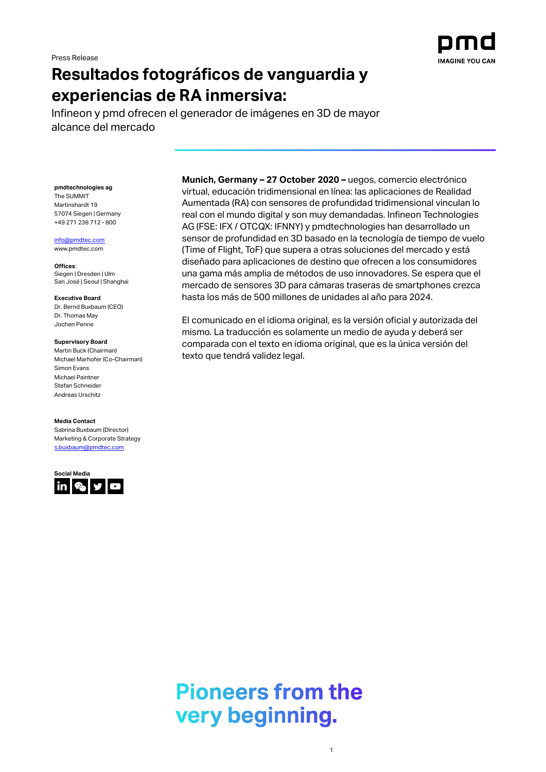

# **Resultados fotográficos de vanguardia y experiencias de RA inmersiva:**

Infineon y pmd ofrecen el generador de imágenes en 3D de mayor alcance del mercado

**pmdtechnologies ag** The SUMMIT Martinshardt 19 57074 Siegen | Germany +49 271 238 712 - 800

[info@pmdtec.com](mailto:info@pmdtec.com)

[www.pmdtec.com](http://www.pmdtec.com/)

**Offices**: Siegen | Dresden | Ulm San José | Seoul | Shanghai

**Executive Board** Dr. Bernd Buxbaum (CEO) Dr. Thomas May Jochen Penne

**Supervisory Board** Martin Buck (Chairman) Michael Marhofer (Co-Chairman) Simon Evans Michael Paintner Stefan Schneider Andreas Urschitz

**Media Contact** Sabrina Buxbaum (Director) Marketing & Corporate Strategy [s.buxbaum@pmdtec.com](mailto:s.buxbaum@pmdtec.com)

**Social Media**  $\ln |\mathcal{E}_0|$ y o **Munich, Germany – 27 October 2020 –** uegos, comercio electrónico virtual, educación tridimensional en línea: las aplicaciones de Realidad Aumentada (RA) con sensores de profundidad tridimensional vinculan lo real con el mundo digital y son muy demandadas. Infineon Technologies AG (FSE: IFX / OTCQX: IFNNY) y pmdtechnologies han desarrollado un sensor de profundidad en 3D basado en la tecnología de tiempo de vuelo (Time of Flight, ToF) que supera a otras soluciones del mercado y está diseñado para aplicaciones de destino que ofrecen a los consumidores una gama más amplia de métodos de uso innovadores. Se espera que el mercado de sensores 3D para cámaras traseras de smartphones crezca hasta los más de 500 millones de unidades al año para 2024.

El comunicado en el idioma original, es la versión oficial y autorizada del mismo. La traducción es solamente un medio de ayuda y deberá ser comparada con el texto en idioma original, que es la única versión del texto que tendrá validez legal.

**Pioneers from the** very beginning.

1